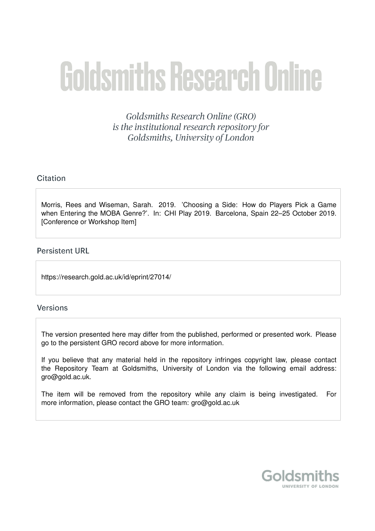# **Goldsmiths Research Online**

Goldsmiths Research Online (GRO) is the institutional research repository for Goldsmiths, University of London

# Citation

Morris, Rees and Wiseman, Sarah. 2019. 'Choosing a Side: How do Players Pick a Game when Entering the MOBA Genre?'. In: CHI Play 2019. Barcelona, Spain 22–25 October 2019. [Conference or Workshop Item]

## **Persistent URL**

https://research.gold.ac.uk/id/eprint/27014/

## **Versions**

The version presented here may differ from the published, performed or presented work. Please go to the persistent GRO record above for more information.

If you believe that any material held in the repository infringes copyright law, please contact the Repository Team at Goldsmiths, University of London via the following email address: gro@gold.ac.uk.

The item will be removed from the repository while any claim is being investigated. For more information, please contact the GRO team: gro@gold.ac.uk

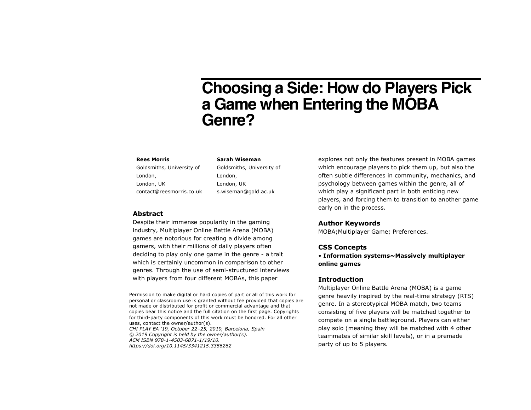# **Choosing a Side: How do Players Pick a Game when Entering the MOBA Genre?**

#### **Rees Morris**

Goldsmiths, University of London, London, UK contact@reesmorris.co.uk

#### **Sarah Wiseman**

Goldsmiths, University of London, London, UK s.wiseman@gold.ac.uk

#### **Abstract**

Despite their immense popularity in the gaming industry, Multiplayer Online Battle Arena (MOBA) games are notorious for creating a divide among gamers, with their millions of daily players often deciding to play only one game in the genre - a trait which is certainly uncommon in comparison to other genres. Through the use of semi-structured interviews with players from four different MOBAs, this paper

Permission to make digital or hard copies of part or all of this work for personal or classroom use is granted without fee provided that copies are not made or distributed for profit or commercial advantage and that copies bear this notice and the full citation on the first page. Copyrights for third-party components of this work must be honored. For all other uses, contact the owner/author(s). *CHI PLAY EA '19, October 22–25, 2019, Barcelona, Spain © 2019 Copyright is held by the owner/author(s). ACM ISBN 978-1-4503-6871-1/19/10. https://doi.org/10.1145/3341215.3356262*

explores not only the features present in MOBA games which encourage players to pick them up, but also the often subtle differences in community, mechanics, and psychology between games within the genre, all of which play a significant part in both enticing new players, and forcing them to transition to another game early on in the process.

#### **Author Keywords**

MOBA;Multiplayer Game; Preferences.

#### **CSS Concepts**

• **Information systems~Massively multiplayer online games**

#### **Introduction**

Multiplayer Online Battle Arena (MOBA) is a game genre heavily inspired by the real-time strategy (RTS) genre. In a stereotypical MOBA match, two teams consisting of five players will be matched together to compete on a single battleground. Players can either play solo (meaning they will be matched with 4 other teammates of similar skill levels), or in a premade party of up to 5 players.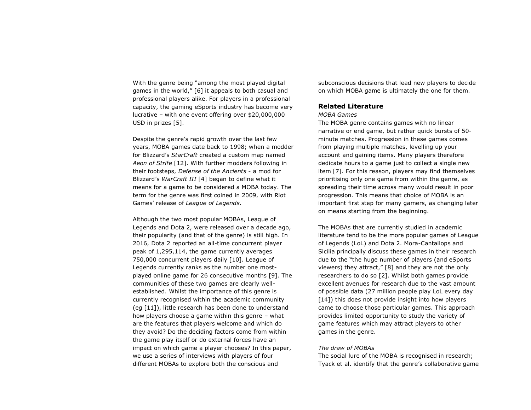With the genre being "among the most played digital games in the world," [6] it appeals to both casual and professional players alike. For players in a professional capacity, the gaming eSports industry has become very lucrative – with one event offering over \$20,000,000 USD in prizes [5].

Despite the genre's rapid growth over the last few years, MOBA games date back to 1998; when a modder for Blizzard's *StarCraft* created a custom map named *Aeon of Strife* [12]. With further modders following in their footsteps, *Defense of the Ancients* - a mod for Blizzard's *WarCraft III* [4] began to define what it means for a game to be considered a MOBA today. The term for the genre was first coined in 2009, with Riot Games' release of *League of Legends*.

Although the two most popular MOBAs, League of Legends and Dota 2, were released over a decade ago, their popularity (and that of the genre) is still high. In 2016, Dota 2 reported an all-time concurrent player peak of 1,295,114, the game currently averages 750,000 concurrent players daily [10]. League of Legends currently ranks as the number one mostplayed online game for 26 consecutive months [9]. The communities of these two games are clearly wellestablished. Whilst the importance of this genre is currently recognised within the academic community (eg [11]), little research has been done to understand how players choose a game within this genre – what are the features that players welcome and which do they avoid? Do the deciding factors come from within the game play itself or do external forces have an impact on which game a player chooses? In this paper, we use a series of interviews with players of four different MOBAs to explore both the conscious and

subconscious decisions that lead new players to decide on which MOBA game is ultimately the one for them.

#### **Related Literature**

#### *MOBA Games*

The MOBA genre contains games with no linear narrative or end game, but rather quick bursts of 50 minute matches. Progression in these games comes from playing multiple matches, levelling up your account and gaining items. Many players therefore dedicate hours to a game just to collect a single new item [7]. For this reason, players may find themselves prioritising only one game from within the genre, as spreading their time across many would result in poor progression. This means that choice of MOBA is an important first step for many gamers, as changing later on means starting from the beginning.

The MOBAs that are currently studied in academic literature tend to be the more popular games of League of Legends (LoL) and Dota 2. Mora-Cantallops and Sicilia principally discuss these games in their research due to the "the huge number of players (and eSports viewers) they attract," [8] and they are not the only researchers to do so [2]. Whilst both games provide excellent avenues for research due to the vast amount of possible data (27 million people play LoL every day [14]) this does not provide insight into how players came to choose those particular games. This approach provides limited opportunity to study the variety of game features which may attract players to other games in the genre.

#### *The draw of MOBAs*

The social lure of the MOBA is recognised in research; Tyack et al. identify that the genre's collaborative game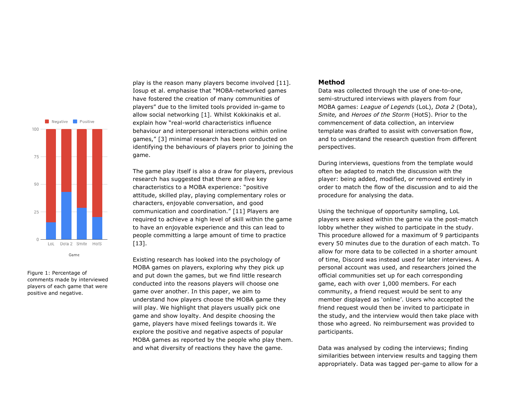

Figure 1: Percentage of comments made by interviewed players of each game that were positive and negative.

play is the reason many players become involved [11]. Iosup et al. emphasise that "MOBA-networked games have fostered the creation of many communities of players" due to the limited tools provided in-game to allow social networking [1]. Whilst Kokkinakis et al. explain how "real-world characteristics influence behaviour and interpersonal interactions within online games," [3] minimal research has been conducted on identifying the behaviours of players prior to joining the game.

The game play itself is also a draw for players, previous research has suggested that there are five key characteristics to a MOBA experience: "positive attitude, skilled play, playing complementary roles or characters, enjoyable conversation, and good communication and coordination." [11] Players are required to achieve a high level of skill within the game to have an enjoyable experience and this can lead to people committing a large amount of time to practice [13].

Existing research has looked into the psychology of MOBA games on players, exploring why they pick up and put down the games, but we find little research conducted into the reasons players will choose one game over another. In this paper, we aim to understand how players choose the MOBA game they will play. We highlight that players usually pick one game and show loyalty. And despite choosing the game, players have mixed feelings towards it. We explore the positive and negative aspects of popular MOBA games as reported by the people who play them. and what diversity of reactions they have the game.

#### **Method**

Data was collected through the use of one-to-one, semi-structured interviews with players from four MOBA games: *League of Legends* (LoL), *Dota 2* (Dota), *Smite,* and *Heroes of the Storm* (HotS). Prior to the commencement of data collection, an interview template was drafted to assist with conversation flow, and to understand the research question from different perspectives.

During interviews, questions from the template would often be adapted to match the discussion with the player: being added, modified, or removed entirely in order to match the flow of the discussion and to aid the procedure for analysing the data.

Using the technique of opportunity sampling, LoL players were asked within the game via the post-match lobby whether they wished to participate in the study. This procedure allowed for a maximum of 9 participants every 50 minutes due to the duration of each match. To allow for more data to be collected in a shorter amount of time, Discord was instead used for later interviews. A personal account was used, and researchers joined the official communities set up for each corresponding game, each with over 1,000 members. For each community, a friend request would be sent to any member displayed as 'online'. Users who accepted the friend request would then be invited to participate in the study, and the interview would then take place with those who agreed. No reimbursement was provided to participants.

Data was analysed by coding the interviews; finding similarities between interview results and tagging them appropriately. Data was tagged per-game to allow for a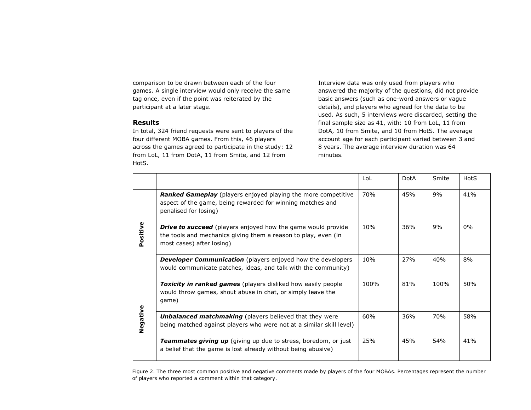comparison to be drawn between each of the four games. A single interview would only receive the same tag once, even if the point was reiterated by the participant at a later stage.

#### **Results**

In total, 324 friend requests were sent to players of the four different MOBA games. From this, 46 players across the games agreed to participate in the study: 12 from LoL, 11 from DotA, 11 from Smite, and 12 from HotS.

Interview data was only used from players who answered the majority of the questions, did not provide basic answers (such as one-word answers or vague details), and players who agreed for the data to be used. As such, 5 interviews were discarded, setting the final sample size as 41, with: 10 from LoL, 11 from DotA, 10 from Smite, and 10 from HotS. The average account age for each participant varied between 3 and 8 years. The average interview duration was 64 minutes.

|          |                                                                                                                                                                    | LoL  | <b>DotA</b> | Smite | HotS |
|----------|--------------------------------------------------------------------------------------------------------------------------------------------------------------------|------|-------------|-------|------|
| Positive | Ranked Gameplay (players enjoyed playing the more competitive<br>aspect of the game, being rewarded for winning matches and<br>penalised for losing)               | 70%  | 45%         | 9%    | 41%  |
|          | <b>Drive to succeed</b> (players enjoyed how the game would provide<br>the tools and mechanics giving them a reason to play, even (in<br>most cases) after losing) | 10%  | 36%         | 9%    | 0%   |
|          | <b>Developer Communication</b> (players enjoyed how the developers<br>would communicate patches, ideas, and talk with the community)                               | 10%  | 27%         | 40%   | 8%   |
| Negative | <b>Toxicity in ranked games</b> (players disliked how easily people<br>would throw games, shout abuse in chat, or simply leave the<br>game)                        | 100% | 81%         | 100%  | 50%  |
|          | <b>Unbalanced matchmaking</b> (players believed that they were<br>being matched against players who were not at a similar skill level)                             | 60%  | 36%         | 70%   | 58%  |
|          | <b>Teammates giving up</b> (giving up due to stress, boredom, or just<br>a belief that the game is lost already without being abusive)                             | 25%  | 45%         | 54%   | 41%  |

Figure 2. The three most common positive and negative comments made by players of the four MOBAs. Percentages represent the number of players who reported a comment within that category.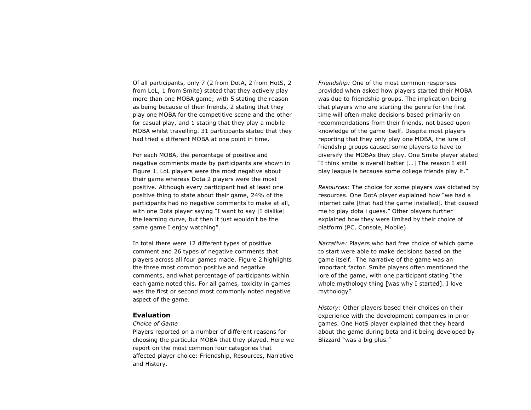Of all participants, only 7 (2 from DotA, 2 from HotS, 2 from LoL, 1 from Smite) stated that they actively play more than one MOBA game; with 5 stating the reason as being because of their friends, 2 stating that they play one MOBA for the competitive scene and the other for casual play, and 1 stating that they play a mobile MOBA whilst travelling. 31 participants stated that they had tried a different MOBA at one point in time.

For each MOBA, the percentage of positive and negative comments made by participants are shown in Figure 1. LoL players were the most negative about their game whereas Dota 2 players were the most positive. Although every participant had at least one positive thing to state about their game, 24% of the participants had no negative comments to make at all, with one Dota player saying "I want to say [I dislike] the learning curve, but then it just wouldn't be the same game I enjoy watching".

In total there were 12 different types of positive comment and 26 types of negative comments that players across all four games made. Figure 2 highlights the three most common positive and negative comments, and what percentage of participants within each game noted this. For all games, toxicity in games was the first or second most commonly noted negative aspect of the game.

#### **Evaluation**

#### *Choice of Game*

Players reported on a number of different reasons for choosing the particular MOBA that they played. Here we report on the most common four categories that affected player choice: Friendship, Resources, Narrative and History.

*Friendship:* One of the most common responses provided when asked how players started their MOBA was due to friendship groups. The implication being that players who are starting the genre for the first time will often make decisions based primarily on recommendations from their friends, not based upon knowledge of the game itself. Despite most players reporting that they only play one MOBA, the lure of friendship groups caused some players to have to diversify the MOBAs they play. One Smite player stated "I think smite is overall better […] The reason I still play league is because some college friends play it."

*Resources:* The choice for some players was dictated by resources. One DotA player explained how "we had a internet cafe [that had the game installed]. that caused me to play dota i guess." Other players further explained how they were limited by their choice of platform (PC, Console, Mobile).

*Narrative:* Players who had free choice of which game to start were able to make decisions based on the game itself. The narrative of the game was an important factor. Smite players often mentioned the lore of the game, with one participant stating "the whole mythology thing [was why I started]. I love mythology".

*History:* Other players based their choices on their experience with the development companies in prior games. One HotS player explained that they heard about the game during beta and it being developed by Blizzard "was a big plus."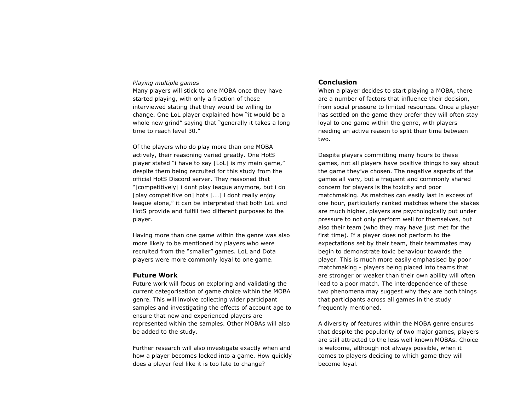#### *Playing multiple games*

Many players will stick to one MOBA once they have started playing, with only a fraction of those interviewed stating that they would be willing to change. One LoL player explained how "it would be a whole new grind" saying that "generally it takes a long time to reach level 30."

Of the players who do play more than one MOBA actively, their reasoning varied greatly. One HotS player stated "i have to say [LoL] is my main game," despite them being recruited for this study from the official HotS Discord server. They reasoned that "[competitively] i dont play league anymore, but i do [play competitive on] hots [...] i dont really enjoy league alone," it can be interpreted that both LoL and HotS provide and fulfill two different purposes to the player.

Having more than one game within the genre was also more likely to be mentioned by players who were recruited from the "smaller" games. LoL and Dota players were more commonly loyal to one game.

#### **Future Work**

Future work will focus on exploring and validating the current categorisation of game choice within the MOBA genre. This will involve collecting wider participant samples and investigating the effects of account age to ensure that new and experienced players are represented within the samples. Other MOBAs will also be added to the study.

Further research will also investigate exactly when and how a player becomes locked into a game. How quickly does a player feel like it is too late to change?

#### **Conclusion**

When a player decides to start playing a MOBA, there are a number of factors that influence their decision, from social pressure to limited resources. Once a player has settled on the game they prefer they will often stay loyal to one game within the genre, with players needing an active reason to split their time between two.

Despite players committing many hours to these games, not all players have positive things to say about the game they've chosen. The negative aspects of the games all vary, but a frequent and commonly shared concern for players is the toxicity and poor matchmaking. As matches can easily last in excess of one hour, particularly ranked matches where the stakes are much higher, players are psychologically put under pressure to not only perform well for themselves, but also their team (who they may have just met for the first time). If a player does not perform to the expectations set by their team, their teammates may begin to demonstrate toxic behaviour towards the player. This is much more easily emphasised by poor matchmaking - players being placed into teams that are stronger or weaker than their own ability will often lead to a poor match. The interdependence of these two phenomena may suggest why they are both things that participants across all games in the study frequently mentioned.

A diversity of features within the MOBA genre ensures that despite the popularity of two major games, players are still attracted to the less well known MOBAs. Choice is welcome, although not always possible, when it comes to players deciding to which game they will become loyal.